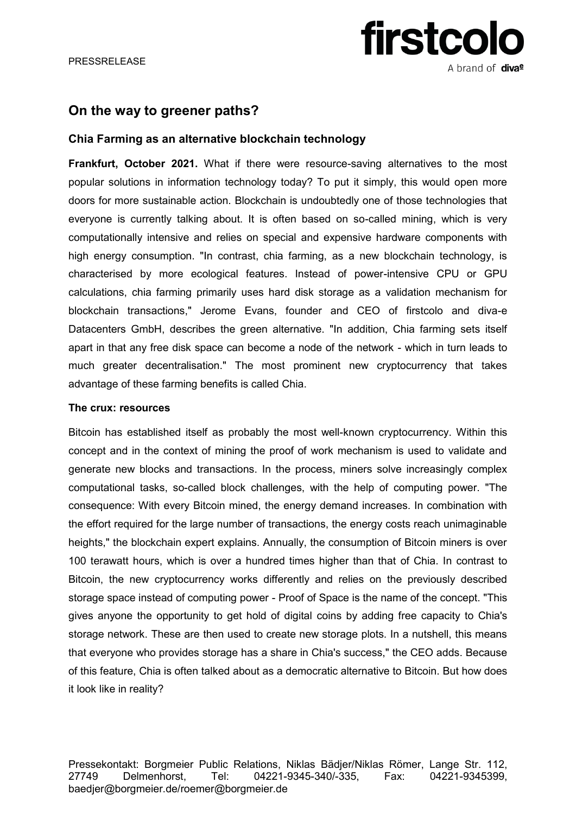# **firstcolo** A brand of **diva<sup>e</sup>**

### **On the way to greener paths?**

### **Chia Farming as an alternative blockchain technology**

**Frankfurt, October 2021.** What if there were resource-saving alternatives to the most popular solutions in information technology today? To put it simply, this would open more doors for more sustainable action. Blockchain is undoubtedly one of those technologies that everyone is currently talking about. It is often based on so-called mining, which is very computationally intensive and relies on special and expensive hardware components with high energy consumption. "In contrast, chia farming, as a new blockchain technology, is characterised by more ecological features. Instead of power-intensive CPU or GPU calculations, chia farming primarily uses hard disk storage as a validation mechanism for blockchain transactions," Jerome Evans, founder and CEO of firstcolo and diva-e Datacenters GmbH, describes the green alternative. "In addition, Chia farming sets itself apart in that any free disk space can become a node of the network - which in turn leads to much greater decentralisation." The most prominent new cryptocurrency that takes advantage of these farming benefits is called Chia.

#### **The crux: resources**

Bitcoin has established itself as probably the most well-known cryptocurrency. Within this concept and in the context of mining the proof of work mechanism is used to validate and generate new blocks and transactions. In the process, miners solve increasingly complex computational tasks, so-called block challenges, with the help of computing power. "The consequence: With every Bitcoin mined, the energy demand increases. In combination with the effort required for the large number of transactions, the energy costs reach unimaginable heights," the blockchain expert explains. Annually, the consumption of Bitcoin miners is over 100 terawatt hours, which is over a hundred times higher than that of Chia. In contrast to Bitcoin, the new cryptocurrency works differently and relies on the previously described storage space instead of computing power - Proof of Space is the name of the concept. "This gives anyone the opportunity to get hold of digital coins by adding free capacity to Chia's storage network. These are then used to create new storage plots. In a nutshell, this means that everyone who provides storage has a share in Chia's success," the CEO adds. Because of this feature, Chia is often talked about as a democratic alternative to Bitcoin. But how does it look like in reality?